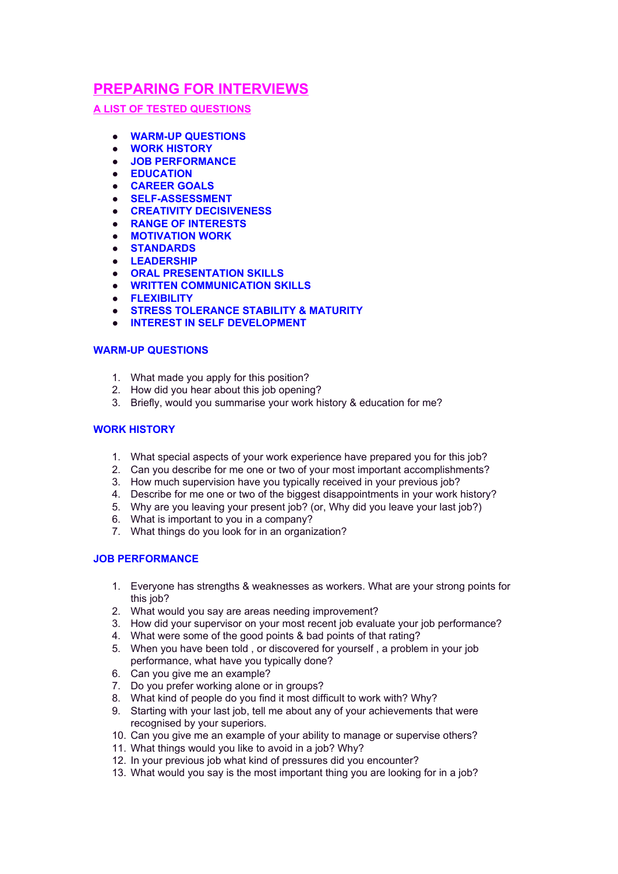# **PREPARING FOR INTERVIEWS**

# **A LIST OF TESTED QUESTIONS**

- **WARM-UP QUESTIONS**
- **WORK HISTORY**
- **JOB PERFORMANCE**
- **EDUCATION**
- **CAREER GOALS**
- **SELF-ASSESSMENT**
- **CREATIVITY DECISIVENESS**
- **RANGE OF INTERESTS**
- **MOTIVATION WORK**
- **STANDARDS**
- **LEADERSHIP**
- **ORAL PRESENTATION SKILLS**
- **WRITTEN COMMUNICATION SKILLS**
- **FLEXIBILITY**
- **STRESS TOLERANCE STABILITY & MATURITY**
- **INTEREST IN SELF DEVELOPMENT**

## **WARM-UP QUESTIONS**

- 1. What made you apply for this position?
- 2. How did you hear about this job opening?
- 3. Briefly, would you summarise your work history & education for me?

## **WORK HISTORY**

- 1. What special aspects of your work experience have prepared you for this job?
- 2. Can you describe for me one or two of your most important accomplishments?
- 3. How much supervision have you typically received in your previous job?
- 4. Describe for me one or two of the biggest disappointments in your work history?
- 5. Why are you leaving your present job? (or, Why did you leave your last job?)
- 6. What is important to you in a company?
- 7. What things do you look for in an organization?

## **JOB PERFORMANCE**

- 1. Everyone has strengths & weaknesses as workers. What are your strong points for this job?
- 2. What would you say are areas needing improvement?
- 3. How did your supervisor on your most recent job evaluate your job performance?
- 4. What were some of the good points & bad points of that rating?
- 5. When you have been told , or discovered for yourself , a problem in your job performance, what have you typically done?
- 6. Can you give me an example?
- 7. Do you prefer working alone or in groups?
- 8. What kind of people do you find it most difficult to work with? Why?
- 9. Starting with your last job, tell me about any of your achievements that were recognised by your superiors.
- 10. Can you give me an example of your ability to manage or supervise others?
- 11. What things would you like to avoid in a job? Why?
- 12. In your previous job what kind of pressures did you encounter?
- 13. What would you say is the most important thing you are looking for in a job?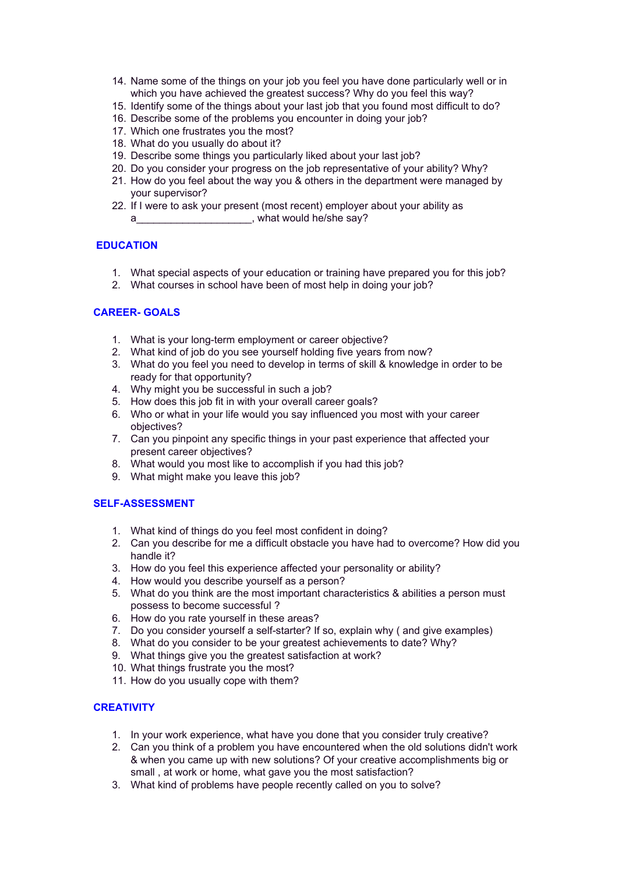- 14. Name some of the things on your job you feel you have done particularly well or in which you have achieved the greatest success? Why do you feel this way?
- 15. Identify some of the things about your last job that you found most difficult to do?
- 16. Describe some of the problems you encounter in doing your job?
- 17. Which one frustrates you the most?
- 18. What do you usually do about it?
- 19. Describe some things you particularly liked about your last job?
- 20. Do you consider your progress on the job representative of your ability? Why?
- 21. How do you feel about the way you & others in the department were managed by your supervisor?
- 22. If I were to ask your present (most recent) employer about your ability as
	- a\_\_\_\_\_\_\_\_\_\_\_\_\_\_\_\_\_\_\_\_, what would he/she say?

# **EDUCATION**

- 1. What special aspects of your education or training have prepared you for this job?
- 2. What courses in school have been of most help in doing your job?

# **CAREER- GOALS**

- 1. What is your long-term employment or career objective?
- 2. What kind of job do you see yourself holding five years from now?
- 3. What do you feel you need to develop in terms of skill & knowledge in order to be ready for that opportunity?
- 4. Why might you be successful in such a job?
- 5. How does this job fit in with your overall career goals?
- 6. Who or what in your life would you say influenced you most with your career objectives?
- 7. Can you pinpoint any specific things in your past experience that affected your present career objectives?
- 8. What would you most like to accomplish if you had this job?
- 9. What might make you leave this job?

## **SELF-ASSESSMENT**

- 1. What kind of things do you feel most confident in doing?
- 2. Can you describe for me a difficult obstacle you have had to overcome? How did you handle it?
- 3. How do you feel this experience affected your personality or ability?
- 4. How would you describe yourself as a person?
- 5. What do you think are the most important characteristics & abilities a person must possess to become successful ?
- 6. How do you rate yourself in these areas?
- 7. Do you consider yourself a self-starter? If so, explain why ( and give examples)
- 8. What do you consider to be your greatest achievements to date? Why?
- 9. What things give you the greatest satisfaction at work?
- 10. What things frustrate you the most?
- 11. How do you usually cope with them?

## **CREATIVITY**

- 1. In your work experience, what have you done that you consider truly creative?
- 2. Can you think of a problem you have encountered when the old solutions didn't work & when you came up with new solutions? Of your creative accomplishments big or small , at work or home, what gave you the most satisfaction?
- 3. What kind of problems have people recently called on you to solve?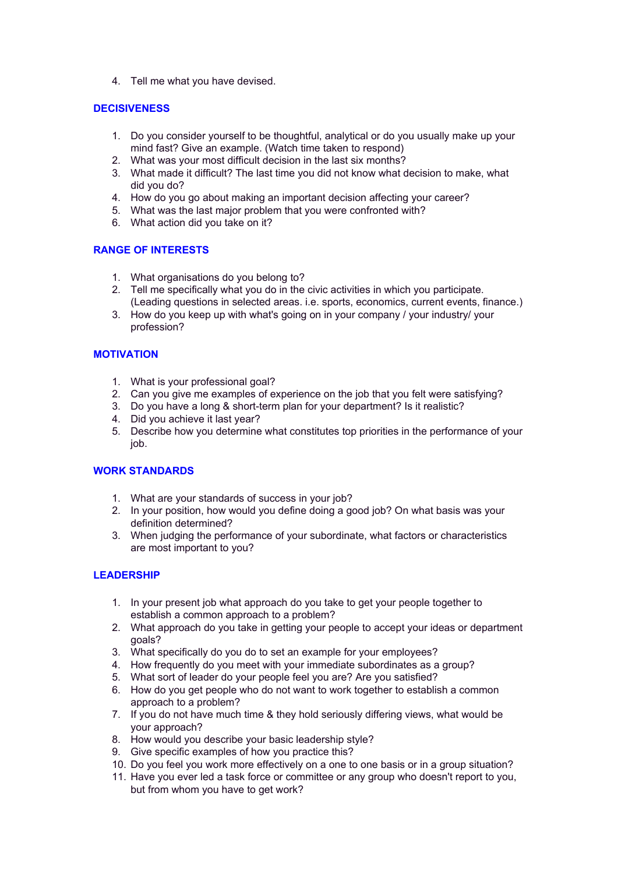4. Tell me what you have devised.

# **DECISIVENESS**

- 1. Do you consider yourself to be thoughtful, analytical or do you usually make up your mind fast? Give an example. (Watch time taken to respond)
- 2. What was your most difficult decision in the last six months?
- 3. What made it difficult? The last time you did not know what decision to make, what did you do?
- 4. How do you go about making an important decision affecting your career?
- 5. What was the last major problem that you were confronted with?
- 6. What action did you take on it?

# **RANGE OF INTERESTS**

- 1. What organisations do you belong to?
- 2. Tell me specifically what you do in the civic activities in which you participate. (Leading questions in selected areas. i.e. sports, economics, current events, finance.)
- 3. How do you keep up with what's going on in your company / your industry/ your profession?

# **MOTIVATION**

- 1. What is your professional goal?
- 2. Can you give me examples of experience on the job that you felt were satisfying?
- 3. Do you have a long & short-term plan for your department? Is it realistic?
- 4. Did you achieve it last year?
- 5. Describe how you determine what constitutes top priorities in the performance of your job.

# **WORK STANDARDS**

- 1. What are your standards of success in your job?
- 2. In your position, how would you define doing a good job? On what basis was your definition determined?
- 3. When judging the performance of your subordinate, what factors or characteristics are most important to you?

## **LEADERSHIP**

- 1. In your present job what approach do you take to get your people together to establish a common approach to a problem?
- 2. What approach do you take in getting your people to accept your ideas or department goals?
- 3. What specifically do you do to set an example for your employees?
- 4. How frequently do you meet with your immediate subordinates as a group?
- 5. What sort of leader do your people feel you are? Are you satisfied?
- 6. How do you get people who do not want to work together to establish a common approach to a problem?
- 7. If you do not have much time & they hold seriously differing views, what would be your approach?
- 8. How would you describe your basic leadership style?
- 9. Give specific examples of how you practice this?
- 10. Do you feel you work more effectively on a one to one basis or in a group situation?
- 11. Have you ever led a task force or committee or any group who doesn't report to you, but from whom you have to get work?